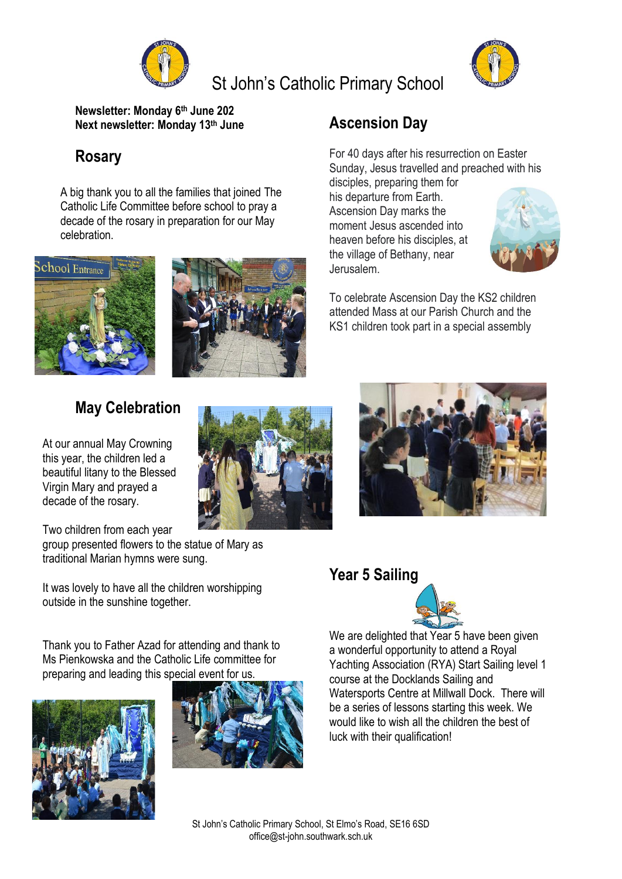

# St John's Catholic Primary School



**Newsletter: Monday 6 th June 202 Next newsletter: Monday 13 th June**

# **Rosary**

A big thank you to all the families that joined The Catholic Life Committee before school to pray a decade of the rosary in preparation for our May celebration.





## **May Celebration**

At our annual May Crowning this year, the children led a beautiful litany to the Blessed Virgin Mary and prayed a decade of the rosary.

Two children from each year group presented flowers to the statue of Mary as traditional Marian hymns were sung.

It was lovely to have all the children worshipping outside in the sunshine together.

Thank you to Father Azad for attending and thank to Ms Pienkowska and the Catholic Life committee for preparing and leading this special event for us.





# **Ascension Day**

For 40 days after his resurrection on Easter Sunday, Jesus travelled and preached with his

disciples, preparing them for his departure from Earth. Ascension Day marks the moment Jesus ascended into heaven before his disciples, at the village of Bethany, near Jerusalem.



To celebrate Ascension Day the KS2 children attended Mass at our Parish Church and the KS1 children took part in a special assembly



#### **Year 5 Sailing**



We are delighted that Year 5 have been given a wonderful opportunity to attend a Royal Yachting Association (RYA) Start Sailing level 1 course at the Docklands Sailing and Watersports Centre at Millwall Dock. There will be a series of lessons starting this week. We would like to wish all the children the best of luck with their qualification!